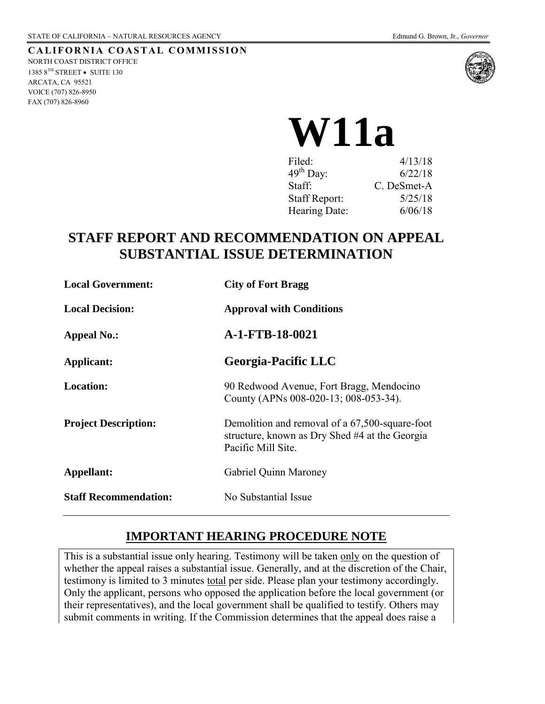FAX (707) 826-8960

#### **CALIFORNIA COASTAL COMMISSION** NORTH COAST DISTRICT OFFICE 1385  $8^{TH}$  STREET • SUITE 130 ARCATA, CA 95521 VOICE (707) 826-8950



# **W11a**

| Filed:               | 4/13/18     |
|----------------------|-------------|
| $49th$ Day:          | 6/22/18     |
| Staff:               | C. DeSmet-A |
| <b>Staff Report:</b> | 5/25/18     |
| Hearing Date:        | 6/06/18     |

# **STAFF REPORT AND RECOMMENDATION ON APPEAL SUBSTANTIAL ISSUE DETERMINATION**

| <b>Local Government:</b>     | <b>City of Fort Bragg</b>                                                                                              |
|------------------------------|------------------------------------------------------------------------------------------------------------------------|
| <b>Local Decision:</b>       | <b>Approval with Conditions</b>                                                                                        |
| <b>Appeal No.:</b>           | A-1-FTB-18-0021                                                                                                        |
| Applicant:                   | <b>Georgia-Pacific LLC</b>                                                                                             |
| <b>Location:</b>             | 90 Redwood Avenue, Fort Bragg, Mendocino<br>County (APNs 008-020-13; 008-053-34).                                      |
| <b>Project Description:</b>  | Demolition and removal of a 67,500-square-foot<br>structure, known as Dry Shed #4 at the Georgia<br>Pacific Mill Site. |
| Appellant:                   | Gabriel Quinn Maroney                                                                                                  |
| <b>Staff Recommendation:</b> | No Substantial Issue                                                                                                   |

## **IMPORTANT HEARING PROCEDURE NOTE**

This is a substantial issue only hearing. Testimony will be taken only on the question of whether the appeal raises a substantial issue. Generally, and at the discretion of the Chair, testimony is limited to 3 minutes total per side. Please plan your testimony accordingly. Only the applicant, persons who opposed the application before the local government (or their representatives), and the local government shall be qualified to testify. Others may submit comments in writing. If the Commission determines that the appeal does raise a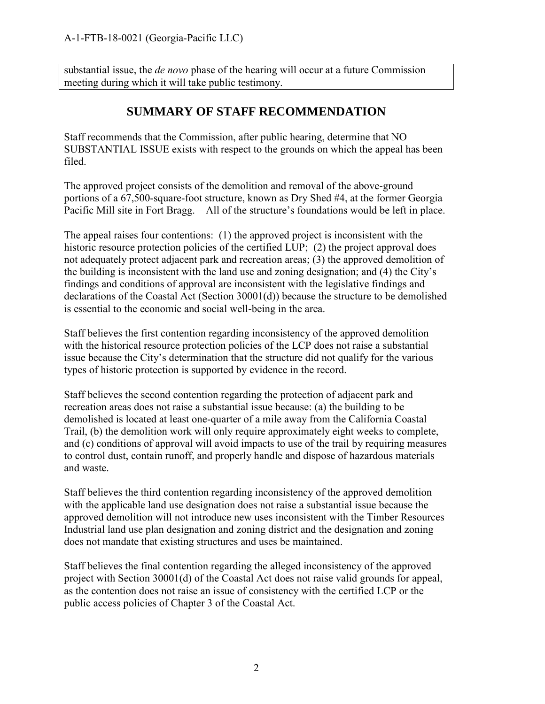substantial issue, the *de novo* phase of the hearing will occur at a future Commission meeting during which it will take public testimony.

## **SUMMARY OF STAFF RECOMMENDATION**

Staff recommends that the Commission, after public hearing, determine that NO SUBSTANTIAL ISSUE exists with respect to the grounds on which the appeal has been filed.

The approved project consists of the demolition and removal of the above-ground portions of a 67,500-square-foot structure, known as Dry Shed #4, at the former Georgia Pacific Mill site in Fort Bragg. – All of the structure's foundations would be left in place.

The appeal raises four contentions: (1) the approved project is inconsistent with the historic resource protection policies of the certified LUP; (2) the project approval does not adequately protect adjacent park and recreation areas; (3) the approved demolition of the building is inconsistent with the land use and zoning designation; and (4) the City's findings and conditions of approval are inconsistent with the legislative findings and declarations of the Coastal Act (Section 30001(d)) because the structure to be demolished is essential to the economic and social well-being in the area.

Staff believes the first contention regarding inconsistency of the approved demolition with the historical resource protection policies of the LCP does not raise a substantial issue because the City's determination that the structure did not qualify for the various types of historic protection is supported by evidence in the record.

Staff believes the second contention regarding the protection of adjacent park and recreation areas does not raise a substantial issue because: (a) the building to be demolished is located at least one-quarter of a mile away from the California Coastal Trail, (b) the demolition work will only require approximately eight weeks to complete, and (c) conditions of approval will avoid impacts to use of the trail by requiring measures to control dust, contain runoff, and properly handle and dispose of hazardous materials and waste.

Staff believes the third contention regarding inconsistency of the approved demolition with the applicable land use designation does not raise a substantial issue because the approved demolition will not introduce new uses inconsistent with the Timber Resources Industrial land use plan designation and zoning district and the designation and zoning does not mandate that existing structures and uses be maintained.

Staff believes the final contention regarding the alleged inconsistency of the approved project with Section 30001(d) of the Coastal Act does not raise valid grounds for appeal, as the contention does not raise an issue of consistency with the certified LCP or the public access policies of Chapter 3 of the Coastal Act.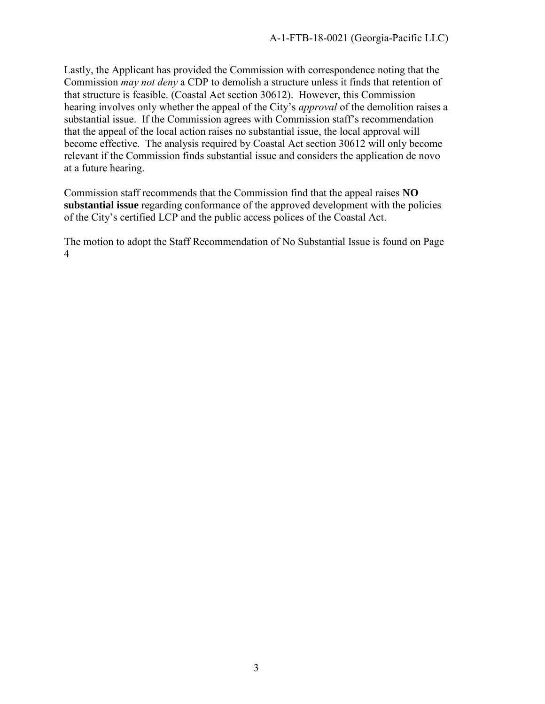Lastly, the Applicant has provided the Commission with correspondence noting that the Commission *may not deny* a CDP to demolish a structure unless it finds that retention of that structure is feasible. (Coastal Act section 30612). However, this Commission hearing involves only whether the appeal of the City's *approval* of the demolition raises a substantial issue. If the Commission agrees with Commission staff's recommendation that the appeal of the local action raises no substantial issue, the local approval will become effective. The analysis required by Coastal Act section 30612 will only become relevant if the Commission finds substantial issue and considers the application de novo at a future hearing.

Commission staff recommends that the Commission find that the appeal raises **NO substantial issue** regarding conformance of the approved development with the policies of the City's certified LCP and the public access polices of the Coastal Act.

The motion to adopt the Staff Recommendation of No Substantial Issue is found on Page 4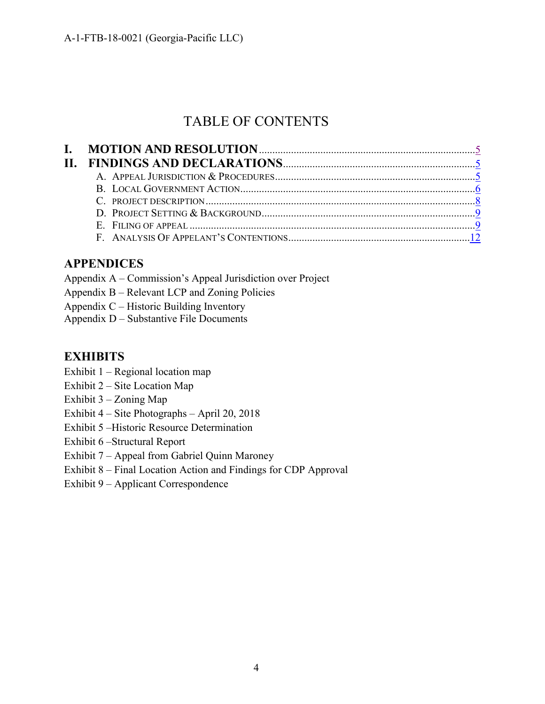# TABLE OF CONTENTS

## **APPENDICES**

- Appendix A Commission's Appeal Jurisdiction over Project
- [Appendix B Relevant LCP and Zoning Policies](https://documents.coastal.ca.gov/reports/2018/6/w11a/w11a-6-2018-appendix.pdf)
- Appendix C Historic Building Inventory
- Appendix D Substantive File Documents

## **EXHIBITS**

- Exhibit 1 Regional location map
- Exhibit 2 Site Location Map
- Exhibit 3 Zoning Map
- Exhibit 4 Site Photographs April 20, 2018
- Exhibit 5 –Historic Resource Determination
- Exhibit 6 –Structural Report
- Exhibit 7 Appeal from Gabriel Quinn Maroney
- Exhibit 8 [Final Location Action and Findings for CDP Approval](https://documents.coastal.ca.gov/reports/2018/6/w11a/w11a-6-2018-exhibits.pdf)
- Exhibit 9 Applicant Correspondence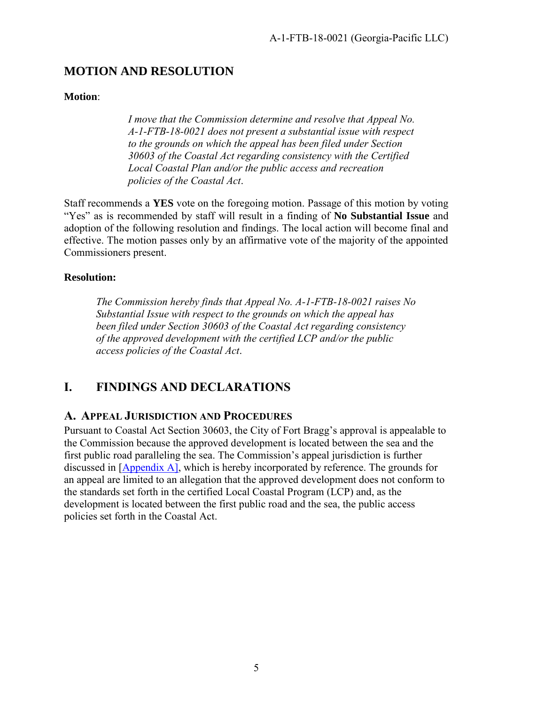## <span id="page-4-0"></span>**MOTION AND RESOLUTION**

#### **Motion**:

*I move that the Commission determine and resolve that Appeal No. A-1-FTB-18-0021 does not present a substantial issue with respect to the grounds on which the appeal has been filed under Section 30603 of the Coastal Act regarding consistency with the Certified Local Coastal Plan and/or the public access and recreation policies of the Coastal Act*.

Staff recommends a **YES** vote on the foregoing motion. Passage of this motion by voting "Yes" as is recommended by staff will result in a finding of **No Substantial Issue** and adoption of the following resolution and findings. The local action will become final and effective. The motion passes only by an affirmative vote of the majority of the appointed Commissioners present.

#### **Resolution:**

*The Commission hereby finds that Appeal No. A-1-FTB-18-0021 raises No Substantial Issue with respect to the grounds on which the appeal has been filed under Section 30603 of the Coastal Act regarding consistency of the approved development with the certified LCP and/or the public access policies of the Coastal Act*.

## <span id="page-4-1"></span>**I. FINDINGS AND DECLARATIONS**

## <span id="page-4-2"></span>**A. APPEAL JURISDICTION AND PROCEDURES**

Pursuant to Coastal Act Section 30603, the City of Fort Bragg's approval is appealable to the Commission because the approved development is located between the sea and the first public road paralleling the sea. The Commission's appeal jurisdiction is further discussed in [\[Appendix A\]](https://documents.coastal.ca.gov/reports/2017/10/w14a/w14a-10-2017-appendix.pdf), which is hereby incorporated by reference. The grounds for an appeal are limited to an allegation that the approved development does not conform to the standards set forth in the certified Local Coastal Program (LCP) and, as the development is located between the first public road and the sea, the public access policies set forth in the Coastal Act.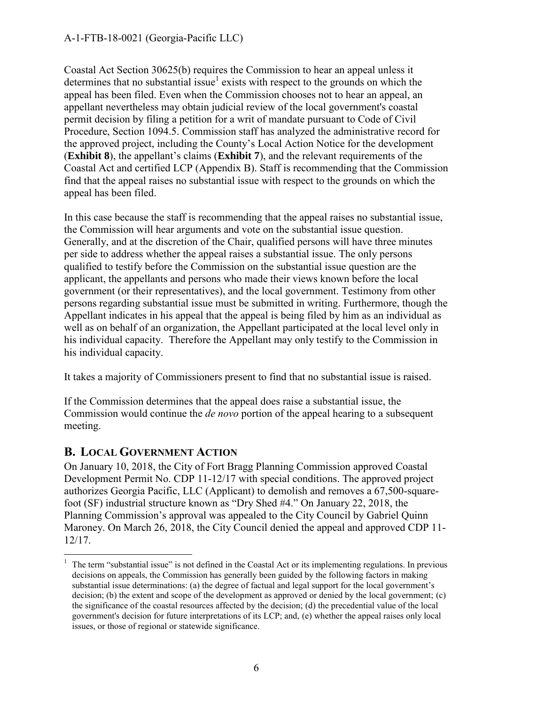#### A-1-FTB-18-0021 (Georgia-Pacific LLC)

Coastal Act Section 30625(b) requires the Commission to hear an appeal unless it determines that no substantial issue<sup>1</sup> exists with respect to the grounds on which the appeal has been filed. Even when the Commission chooses not to hear an appeal, an appellant nevertheless may obtain judicial review of the local government's coastal permit decision by filing a petition for a writ of mandate pursuant to Code of Civil Procedure, Section 1094.5. Commission staff has analyzed the administrative record for the approved project, including the County's Local Action Notice for the development (**Exhibit 8**), the appellant's claims (**Exhibit 7**), and the relevant requirements of the Coastal Act and certified LCP (Appendix B). Staff is recommending that the Commission find that the appeal raises no substantial issue with respect to the grounds on which the appeal has been filed.

In this case because the staff is recommending that the appeal raises no substantial issue, the Commission will hear arguments and vote on the substantial issue question. Generally, and at the discretion of the Chair, qualified persons will have three minutes per side to address whether the appeal raises a substantial issue. The only persons qualified to testify before the Commission on the substantial issue question are the applicant, the appellants and persons who made their views known before the local government (or their representatives), and the local government. Testimony from other persons regarding substantial issue must be submitted in writing. Furthermore, though the Appellant indicates in his appeal that the appeal is being filed by him as an individual as well as on behalf of an organization, the Appellant participated at the local level only in his individual capacity. Therefore the Appellant may only testify to the Commission in his individual capacity.

It takes a majority of Commissioners present to find that no substantial issue is raised.

If the Commission determines that the appeal does raise a substantial issue, the Commission would continue the *de novo* portion of the appeal hearing to a subsequent meeting.

## <span id="page-5-0"></span>**B. LOCAL GOVERNMENT ACTION**

 $\overline{a}$ 

On January 10, 2018, the City of Fort Bragg Planning Commission approved Coastal Development Permit No. CDP 11-12/17 with special conditions. The approved project authorizes Georgia Pacific, LLC (Applicant) to demolish and removes a 67,500-squarefoot (SF) industrial structure known as "Dry Shed #4." On January 22, 2018, the Planning Commission's approval was appealed to the City Council by Gabriel Quinn Maroney. On March 26, 2018, the City Council denied the appeal and approved CDP 11- 12/17.

 $1$  The term "substantial issue" is not defined in the Coastal Act or its implementing regulations. In previous decisions on appeals, the Commission has generally been guided by the following factors in making substantial issue determinations: (a) the degree of factual and legal support for the local government's decision; (b) the extent and scope of the development as approved or denied by the local government; (c) the significance of the coastal resources affected by the decision; (d) the precedential value of the local government's decision for future interpretations of its LCP; and, (e) whether the appeal raises only local issues, or those of regional or statewide significance.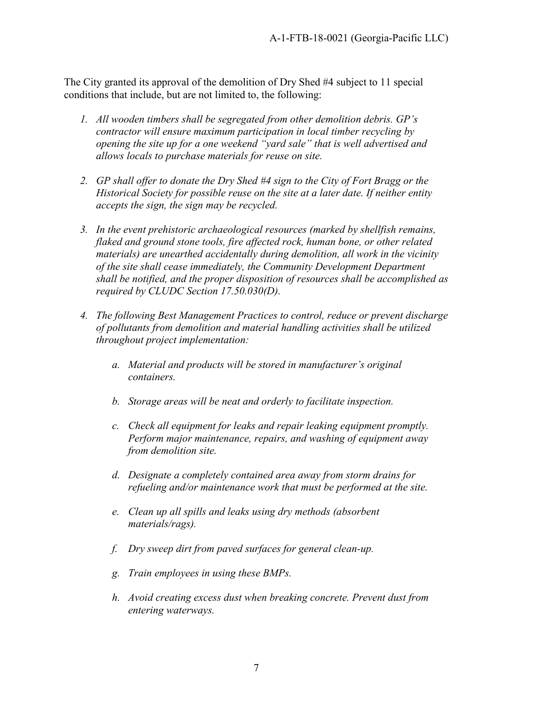The City granted its approval of the demolition of Dry Shed #4 subject to 11 special conditions that include, but are not limited to, the following:

- *1. All wooden timbers shall be segregated from other demolition debris. GP's contractor will ensure maximum participation in local timber recycling by opening the site up for a one weekend "yard sale" that is well advertised and allows locals to purchase materials for reuse on site.*
- *2. GP shall offer to donate the Dry Shed #4 sign to the City of Fort Bragg or the Historical Society for possible reuse on the site at a later date. If neither entity accepts the sign, the sign may be recycled.*
- *3. In the event prehistoric archaeological resources (marked by shellfish remains, flaked and ground stone tools, fire affected rock, human bone, or other related materials) are unearthed accidentally during demolition, all work in the vicinity of the site shall cease immediately, the Community Development Department shall be notified, and the proper disposition of resources shall be accomplished as required by CLUDC Section 17.50.030(D).*
- *4. The following Best Management Practices to control, reduce or prevent discharge of pollutants from demolition and material handling activities shall be utilized throughout project implementation:* 
	- *a. Material and products will be stored in manufacturer's original containers.*
	- *b. Storage areas will be neat and orderly to facilitate inspection.*
	- *c. Check all equipment for leaks and repair leaking equipment promptly. Perform major maintenance, repairs, and washing of equipment away from demolition site.*
	- *d. Designate a completely contained area away from storm drains for refueling and/or maintenance work that must be performed at the site.*
	- *e. Clean up all spills and leaks using dry methods (absorbent materials/rags).*
	- *f. Dry sweep dirt from paved surfaces for general clean-up.*
	- *g. Train employees in using these BMPs.*
	- *h. Avoid creating excess dust when breaking concrete. Prevent dust from entering waterways.*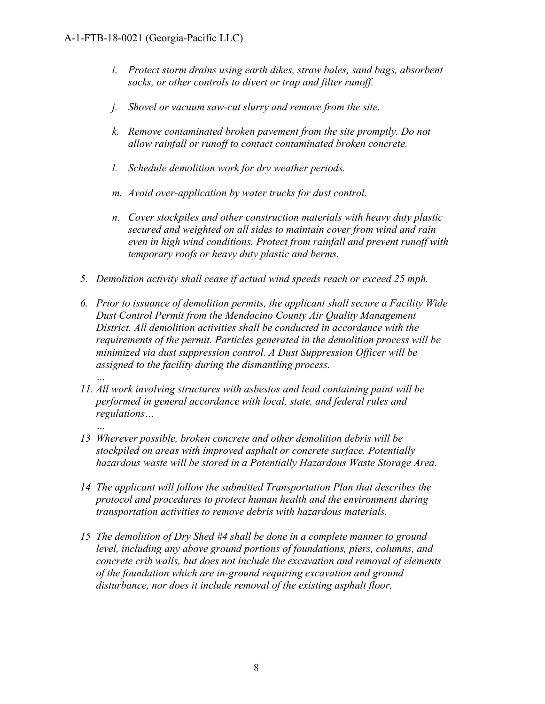*…* 

- *i. Protect storm drains using earth dikes, straw bales, sand bags, absorbent socks, or other controls to divert or trap and filter runoff.*
- *j. Shovel or vacuum saw-cut slurry and remove from the site.*
- *k. Remove contaminated broken pavement from the site promptly. Do not allow rainfall or runoff to contact contaminated broken concrete.*
- *l. Schedule demolition work for dry weather periods.*
- *m. Avoid over-application by water trucks for dust control.*
- *n. Cover stockpiles and other construction materials with heavy duty plastic secured and weighted on all sides to maintain cover from wind and rain even in high wind conditions. Protect from rainfall and prevent runoff with temporary roofs or heavy duty plastic and berms.*
- *5. Demolition activity shall cease if actual wind speeds reach or exceed 25 mph.*
- *6. Prior to issuance of demolition permits, the applicant shall secure a Facility Wide Dust Control Permit from the Mendocino County Air Quality Management District. All demolition activities shall be conducted in accordance with the requirements of the permit. Particles generated in the demolition process will be minimized via dust suppression control. A Dust Suppression Officer will be assigned to the facility during the dismantling process.*
- *11. All work involving structures with asbestos and lead containing paint will be performed in general accordance with local, state, and federal rules and regulations…*
- *… 13 Wherever possible, broken concrete and other demolition debris will be stockpiled on areas with improved asphalt or concrete surface. Potentially hazardous waste will be stored in a Potentially Hazardous Waste Storage Area.*
- *14 The applicant will follow the submitted Transportation Plan that describes the protocol and procedures to protect human health and the environment during transportation activities to remove debris with hazardous materials.*
- *15 The demolition of Dry Shed #4 shall be done in a complete manner to ground level, including any above ground portions of foundations, piers, columns, and concrete crib walls, but does not include the excavation and removal of elements of the foundation which are in-ground requiring excavation and ground disturbance, nor does it include removal of the existing asphalt floor.*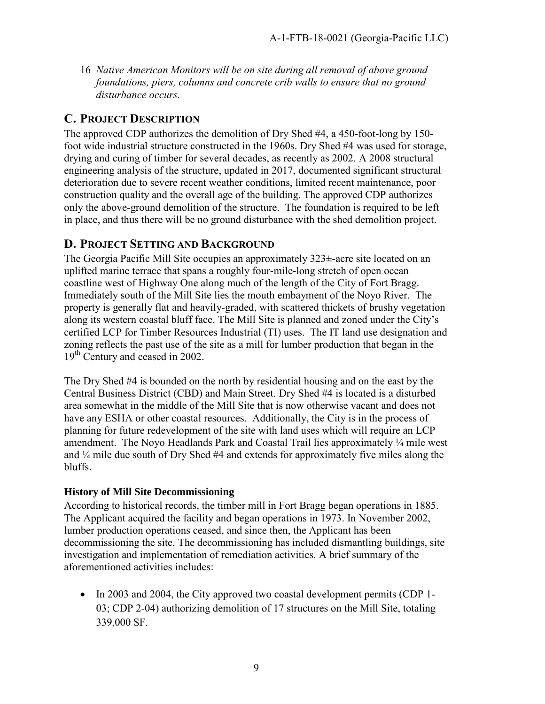16 *Native American Monitors will be on site during all removal of above ground foundations, piers, columns and concrete crib walls to ensure that no ground disturbance occurs.*

### **C. PROJECT DESCRIPTION**

The approved CDP authorizes the demolition of Dry Shed #4, a 450-foot-long by 150 foot wide industrial structure constructed in the 1960s. Dry Shed #4 was used for storage, drying and curing of timber for several decades, as recently as 2002. A 2008 structural engineering analysis of the structure, updated in 2017, documented significant structural deterioration due to severe recent weather conditions, limited recent maintenance, poor construction quality and the overall age of the building. The approved CDP authorizes only the above-ground demolition of the structure. The foundation is required to be left in place, and thus there will be no ground disturbance with the shed demolition project.

## <span id="page-8-0"></span>**D. PROJECT SETTING AND BACKGROUND**

The Georgia Pacific Mill Site occupies an approximately 323±-acre site located on an uplifted marine terrace that spans a roughly four-mile-long stretch of open ocean coastline west of Highway One along much of the length of the City of Fort Bragg. Immediately south of the Mill Site lies the mouth embayment of the Noyo River. The property is generally flat and heavily-graded, with scattered thickets of brushy vegetation along its western coastal bluff face. The Mill Site is planned and zoned under the City's certified LCP for Timber Resources Industrial (TI) uses. The IT land use designation and zoning reflects the past use of the site as a mill for lumber production that began in the 19<sup>th</sup> Century and ceased in 2002.

The Dry Shed #4 is bounded on the north by residential housing and on the east by the Central Business District (CBD) and Main Street. Dry Shed #4 is located is a disturbed area somewhat in the middle of the Mill Site that is now otherwise vacant and does not have any ESHA or other coastal resources. Additionally, the City is in the process of planning for future redevelopment of the site with land uses which will require an LCP amendment. The Noyo Headlands Park and Coastal Trail lies approximately ¼ mile west and ¼ mile due south of Dry Shed #4 and extends for approximately five miles along the bluffs.

#### **History of Mill Site Decommissioning**

According to historical records, the timber mill in Fort Bragg began operations in 1885. The Applicant acquired the facility and began operations in 1973. In November 2002, lumber production operations ceased, and since then, the Applicant has been decommissioning the site. The decommissioning has included dismantling buildings, site investigation and implementation of remediation activities. A brief summary of the aforementioned activities includes:

• In 2003 and 2004, the City approved two coastal development permits (CDP 1-03; CDP 2-04) authorizing demolition of 17 structures on the Mill Site, totaling 339,000 SF.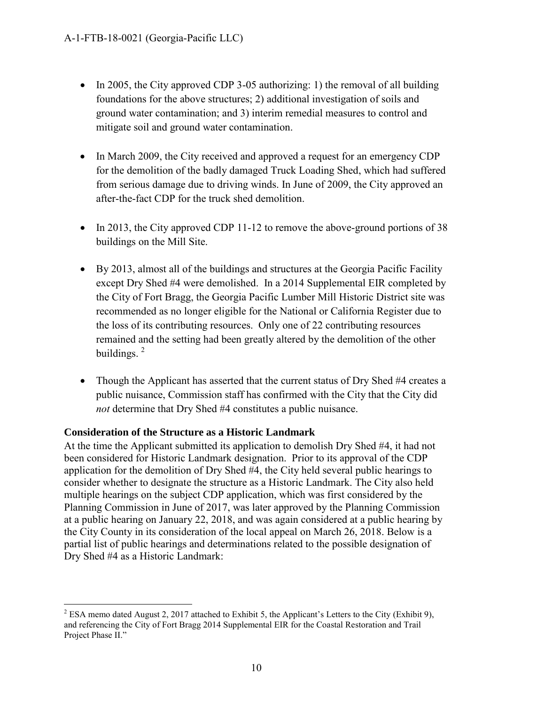- In 2005, the City approved CDP 3-05 authorizing: 1) the removal of all building foundations for the above structures; 2) additional investigation of soils and ground water contamination; and 3) interim remedial measures to control and mitigate soil and ground water contamination.
- In March 2009, the City received and approved a request for an emergency CDP for the demolition of the badly damaged Truck Loading Shed, which had suffered from serious damage due to driving winds. In June of 2009, the City approved an after-the-fact CDP for the truck shed demolition.
- In 2013, the City approved CDP 11-12 to remove the above-ground portions of 38 buildings on the Mill Site.
- By 2013, almost all of the buildings and structures at the Georgia Pacific Facility except Dry Shed #4 were demolished. In a 2014 Supplemental EIR completed by the City of Fort Bragg, the Georgia Pacific Lumber Mill Historic District site was recommended as no longer eligible for the National or California Register due to the loss of its contributing resources. Only one of 22 contributing resources remained and the setting had been greatly altered by the demolition of the other buildings.  $2^{\circ}$
- Though the Applicant has asserted that the current status of Dry Shed #4 creates a public nuisance, Commission staff has confirmed with the City that the City did *not* determine that Dry Shed #4 constitutes a public nuisance.

#### **Consideration of the Structure as a Historic Landmark**

At the time the Applicant submitted its application to demolish Dry Shed #4, it had not been considered for Historic Landmark designation. Prior to its approval of the CDP application for the demolition of Dry Shed #4, the City held several public hearings to consider whether to designate the structure as a Historic Landmark. The City also held multiple hearings on the subject CDP application, which was first considered by the Planning Commission in June of 2017, was later approved by the Planning Commission at a public hearing on January 22, 2018, and was again considered at a public hearing by the City County in its consideration of the local appeal on March 26, 2018. Below is a partial list of public hearings and determinations related to the possible designation of Dry Shed #4 as a Historic Landmark:

 $\overline{a}$ <sup>2</sup> ESA memo dated August 2, 2017 attached to Exhibit 5, the Applicant's Letters to the City (Exhibit 9), and referencing the City of Fort Bragg 2014 Supplemental EIR for the Coastal Restoration and Trail Project Phase II."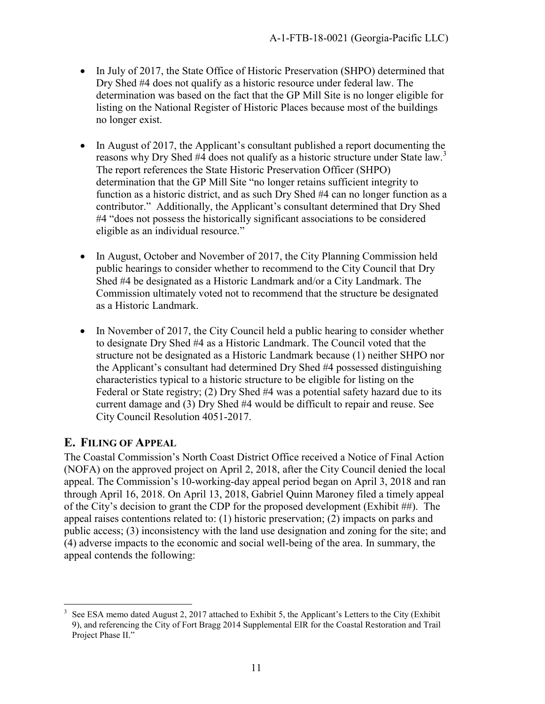- In July of 2017, the State Office of Historic Preservation (SHPO) determined that Dry Shed #4 does not qualify as a historic resource under federal law. The determination was based on the fact that the GP Mill Site is no longer eligible for listing on the National Register of Historic Places because most of the buildings no longer exist.
- In August of 2017, the Applicant's consultant published a report documenting the reasons why Dry Shed #4 does not qualify as a historic structure under State law.<sup>3</sup> The report references the State Historic Preservation Officer (SHPO) determination that the GP Mill Site "no longer retains sufficient integrity to function as a historic district, and as such Dry Shed #4 can no longer function as a contributor." Additionally, the Applicant's consultant determined that Dry Shed #4 "does not possess the historically significant associations to be considered eligible as an individual resource."
- In August, October and November of 2017, the City Planning Commission held public hearings to consider whether to recommend to the City Council that Dry Shed #4 be designated as a Historic Landmark and/or a City Landmark. The Commission ultimately voted not to recommend that the structure be designated as a Historic Landmark.
- In November of 2017, the City Council held a public hearing to consider whether to designate Dry Shed #4 as a Historic Landmark. The Council voted that the structure not be designated as a Historic Landmark because (1) neither SHPO nor the Applicant's consultant had determined Dry Shed #4 possessed distinguishing characteristics typical to a historic structure to be eligible for listing on the Federal or State registry; (2) Dry Shed #4 was a potential safety hazard due to its current damage and (3) Dry Shed #4 would be difficult to repair and reuse. See City Council Resolution 4051-2017.

## <span id="page-10-0"></span>**E. FILING OF APPEAL**

The Coastal Commission's North Coast District Office received a Notice of Final Action (NOFA) on the approved project on April 2, 2018, after the City Council denied the local appeal. The Commission's 10-working-day appeal period began on April 3, 2018 and ran through April 16, 2018. On April 13, 2018, Gabriel Quinn Maroney filed a timely appeal of the City's decision to grant the CDP for the proposed development (Exhibit ##). The appeal raises contentions related to: (1) historic preservation; (2) impacts on parks and public access; (3) inconsistency with the land use designation and zoning for the site; and (4) adverse impacts to the economic and social well-being of the area. In summary, the appeal contends the following:

 $\overline{a}$ 3 See ESA memo dated August 2, 2017 attached to Exhibit 5, the Applicant's Letters to the City (Exhibit 9), and referencing the City of Fort Bragg 2014 Supplemental EIR for the Coastal Restoration and Trail Project Phase II."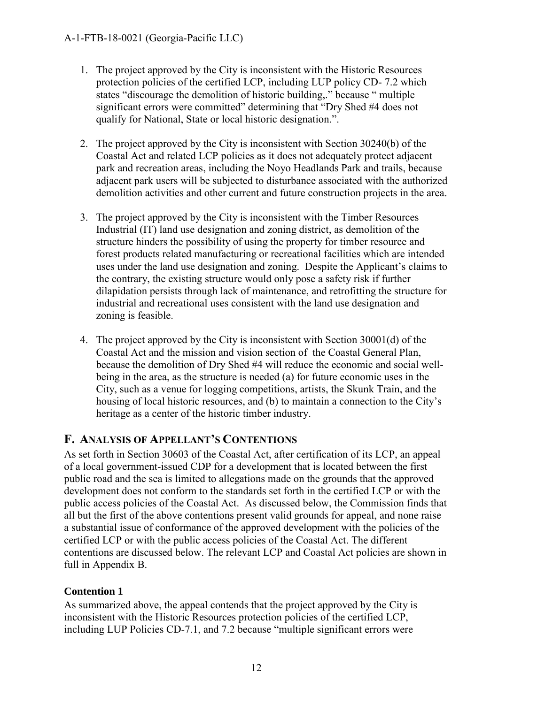- 1. The project approved by the City is inconsistent with the Historic Resources protection policies of the certified LCP, including LUP policy CD- 7.2 which states "discourage the demolition of historic building,." because " multiple significant errors were committed" determining that "Dry Shed #4 does not qualify for National, State or local historic designation.".
- 2. The project approved by the City is inconsistent with Section 30240(b) of the Coastal Act and related LCP policies as it does not adequately protect adjacent park and recreation areas, including the Noyo Headlands Park and trails, because adjacent park users will be subjected to disturbance associated with the authorized demolition activities and other current and future construction projects in the area.
- 3. The project approved by the City is inconsistent with the Timber Resources Industrial (IT) land use designation and zoning district, as demolition of the structure hinders the possibility of using the property for timber resource and forest products related manufacturing or recreational facilities which are intended uses under the land use designation and zoning. Despite the Applicant's claims to the contrary, the existing structure would only pose a safety risk if further dilapidation persists through lack of maintenance, and retrofitting the structure for industrial and recreational uses consistent with the land use designation and zoning is feasible.
- 4. The project approved by the City is inconsistent with Section 30001(d) of the Coastal Act and the mission and vision section of the Coastal General Plan, because the demolition of Dry Shed #4 will reduce the economic and social wellbeing in the area, as the structure is needed (a) for future economic uses in the City, such as a venue for logging competitions, artists, the Skunk Train, and the housing of local historic resources, and (b) to maintain a connection to the City's heritage as a center of the historic timber industry.

# <span id="page-11-0"></span>**F. ANALYSIS OF APPELLANT'S CONTENTIONS**

As set forth in Section 30603 of the Coastal Act, after certification of its LCP, an appeal of a local government-issued CDP for a development that is located between the first public road and the sea is limited to allegations made on the grounds that the approved development does not conform to the standards set forth in the certified LCP or with the public access policies of the Coastal Act. As discussed below, the Commission finds that all but the first of the above contentions present valid grounds for appeal, and none raise a substantial issue of conformance of the approved development with the policies of the certified LCP or with the public access policies of the Coastal Act. The different contentions are discussed below. The relevant LCP and Coastal Act policies are shown in full in Appendix B.

## **Contention 1**

As summarized above, the appeal contends that the project approved by the City is inconsistent with the Historic Resources protection policies of the certified LCP, including LUP Policies CD-7.1, and 7.2 because "multiple significant errors were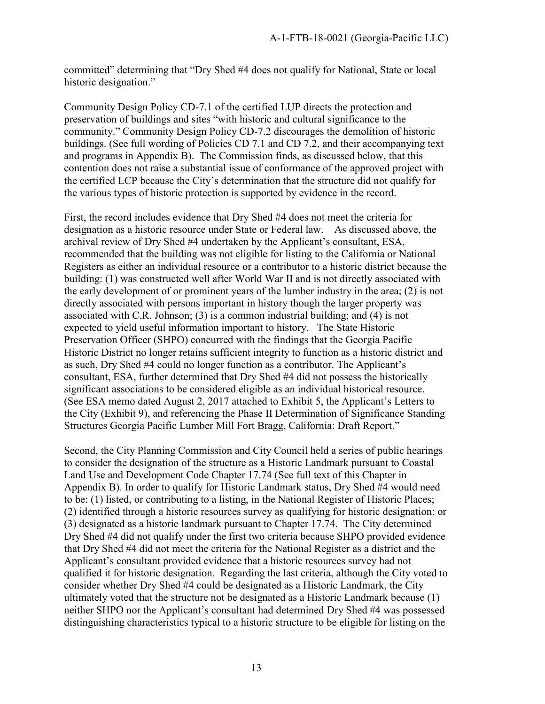committed" determining that "Dry Shed #4 does not qualify for National, State or local historic designation."

Community Design Policy CD-7.1 of the certified LUP directs the protection and preservation of buildings and sites "with historic and cultural significance to the community." Community Design Policy CD-7.2 discourages the demolition of historic buildings. (See full wording of Policies CD 7.1 and CD 7.2, and their accompanying text and programs in Appendix B). The Commission finds, as discussed below, that this contention does not raise a substantial issue of conformance of the approved project with the certified LCP because the City's determination that the structure did not qualify for the various types of historic protection is supported by evidence in the record.

First, the record includes evidence that Dry Shed #4 does not meet the criteria for designation as a historic resource under State or Federal law. As discussed above, the archival review of Dry Shed #4 undertaken by the Applicant's consultant, ESA, recommended that the building was not eligible for listing to the California or National Registers as either an individual resource or a contributor to a historic district because the building: (1) was constructed well after World War II and is not directly associated with the early development of or prominent years of the lumber industry in the area; (2) is not directly associated with persons important in history though the larger property was associated with C.R. Johnson; (3) is a common industrial building; and (4) is not expected to yield useful information important to history. The State Historic Preservation Officer (SHPO) concurred with the findings that the Georgia Pacific Historic District no longer retains sufficient integrity to function as a historic district and as such, Dry Shed #4 could no longer function as a contributor. The Applicant's consultant, ESA, further determined that Dry Shed #4 did not possess the historically significant associations to be considered eligible as an individual historical resource. (See ESA memo dated August 2, 2017 attached to Exhibit 5, the Applicant's Letters to the City (Exhibit 9), and referencing the Phase II Determination of Significance Standing Structures Georgia Pacific Lumber Mill Fort Bragg, California: Draft Report."

Second, the City Planning Commission and City Council held a series of public hearings to consider the designation of the structure as a Historic Landmark pursuant to Coastal Land Use and Development Code Chapter 17.74 (See full text of this Chapter in Appendix B). In order to qualify for Historic Landmark status, Dry Shed #4 would need to be: (1) listed, or contributing to a listing, in the National Register of Historic Places; (2) identified through a historic resources survey as qualifying for historic designation; or (3) designated as a historic landmark pursuant to Chapter 17.74. The City determined Dry Shed #4 did not qualify under the first two criteria because SHPO provided evidence that Dry Shed #4 did not meet the criteria for the National Register as a district and the Applicant's consultant provided evidence that a historic resources survey had not qualified it for historic designation. Regarding the last criteria, although the City voted to consider whether Dry Shed #4 could be designated as a Historic Landmark, the City ultimately voted that the structure not be designated as a Historic Landmark because (1) neither SHPO nor the Applicant's consultant had determined Dry Shed #4 was possessed distinguishing characteristics typical to a historic structure to be eligible for listing on the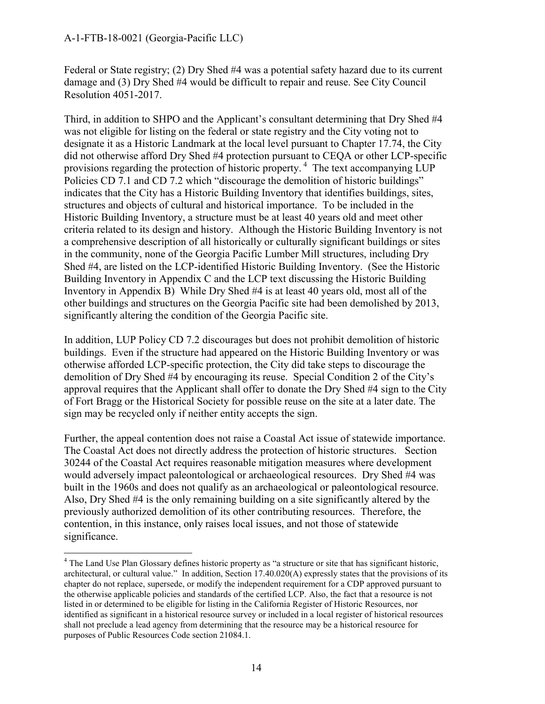Federal or State registry; (2) Dry Shed #4 was a potential safety hazard due to its current damage and (3) Dry Shed #4 would be difficult to repair and reuse. See City Council Resolution 4051-2017.

Third, in addition to SHPO and the Applicant's consultant determining that Dry Shed #4 was not eligible for listing on the federal or state registry and the City voting not to designate it as a Historic Landmark at the local level pursuant to Chapter 17.74, the City did not otherwise afford Dry Shed #4 protection pursuant to CEQA or other LCP-specific provisions regarding the protection of historic property.<sup>4</sup> The text accompanying LUP Policies CD 7.1 and CD 7.2 which "discourage the demolition of historic buildings" indicates that the City has a Historic Building Inventory that identifies buildings, sites, structures and objects of cultural and historical importance. To be included in the Historic Building Inventory, a structure must be at least 40 years old and meet other criteria related to its design and history. Although the Historic Building Inventory is not a comprehensive description of all historically or culturally significant buildings or sites in the community, none of the Georgia Pacific Lumber Mill structures, including Dry Shed #4, are listed on the LCP-identified Historic Building Inventory. (See the Historic Building Inventory in Appendix C and the LCP text discussing the Historic Building Inventory in Appendix B) While Dry Shed #4 is at least 40 years old, most all of the other buildings and structures on the Georgia Pacific site had been demolished by 2013, significantly altering the condition of the Georgia Pacific site.

In addition, LUP Policy CD 7.2 discourages but does not prohibit demolition of historic buildings. Even if the structure had appeared on the Historic Building Inventory or was otherwise afforded LCP-specific protection, the City did take steps to discourage the demolition of Dry Shed #4 by encouraging its reuse. Special Condition 2 of the City's approval requires that the Applicant shall offer to donate the Dry Shed #4 sign to the City of Fort Bragg or the Historical Society for possible reuse on the site at a later date. The sign may be recycled only if neither entity accepts the sign.

Further, the appeal contention does not raise a Coastal Act issue of statewide importance. The Coastal Act does not directly address the protection of historic structures. Section 30244 of the Coastal Act requires reasonable mitigation measures where development would adversely impact paleontological or archaeological resources. Dry Shed #4 was built in the 1960s and does not qualify as an archaeological or paleontological resource. Also, Dry Shed #4 is the only remaining building on a site significantly altered by the previously authorized demolition of its other contributing resources. Therefore, the contention, in this instance, only raises local issues, and not those of statewide significance.

 4 The Land Use Plan Glossary defines historic property as "a structure or site that has significant historic, architectural, or cultural value." In addition, Section 17.40.020(A) expressly states that the provisions of its chapter do not replace, supersede, or modify the independent requirement for a CDP approved pursuant to the otherwise applicable policies and standards of the certified LCP. Also, the fact that a resource is not listed in or determined to be eligible for listing in the California Register of Historic Resources, nor identified as significant in a historical resource survey or included in a local register of historical resources shall not preclude a lead agency from determining that the resource may be a historical resource for purposes of Public Resources Code section 21084.1.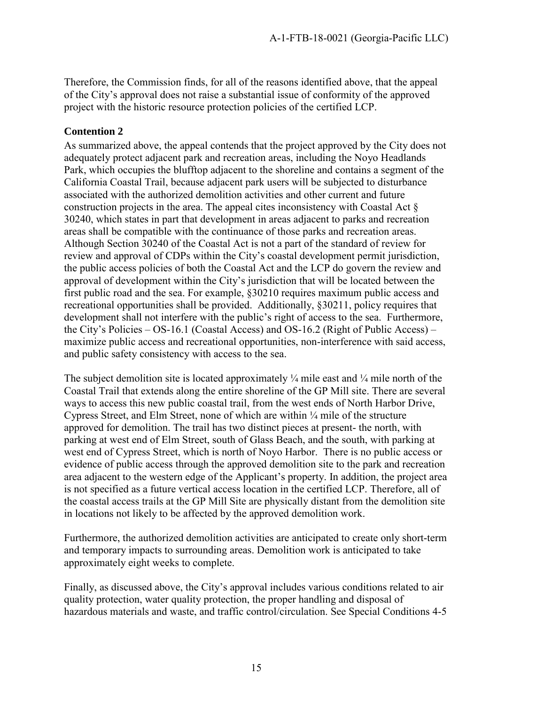Therefore, the Commission finds, for all of the reasons identified above, that the appeal of the City's approval does not raise a substantial issue of conformity of the approved project with the historic resource protection policies of the certified LCP.

#### **Contention 2**

As summarized above, the appeal contends that the project approved by the City does not adequately protect adjacent park and recreation areas, including the Noyo Headlands Park, which occupies the blufftop adjacent to the shoreline and contains a segment of the California Coastal Trail, because adjacent park users will be subjected to disturbance associated with the authorized demolition activities and other current and future construction projects in the area. The appeal cites inconsistency with Coastal Act § 30240, which states in part that development in areas adjacent to parks and recreation areas shall be compatible with the continuance of those parks and recreation areas. Although Section 30240 of the Coastal Act is not a part of the standard of review for review and approval of CDPs within the City's coastal development permit jurisdiction, the public access policies of both the Coastal Act and the LCP do govern the review and approval of development within the City's jurisdiction that will be located between the first public road and the sea. For example, §30210 requires maximum public access and recreational opportunities shall be provided. Additionally, §30211, policy requires that development shall not interfere with the public's right of access to the sea. Furthermore, the City's Policies – OS-16.1 (Coastal Access) and OS-16.2 (Right of Public Access) – maximize public access and recreational opportunities, non-interference with said access, and public safety consistency with access to the sea.

The subject demolition site is located approximately  $\frac{1}{4}$  mile east and  $\frac{1}{4}$  mile north of the Coastal Trail that extends along the entire shoreline of the GP Mill site. There are several ways to access this new public coastal trail, from the west ends of North Harbor Drive, Cypress Street, and Elm Street, none of which are within ¼ mile of the structure approved for demolition. The trail has two distinct pieces at present- the north, with parking at west end of Elm Street, south of Glass Beach, and the south, with parking at west end of Cypress Street, which is north of Noyo Harbor. There is no public access or evidence of public access through the approved demolition site to the park and recreation area adjacent to the western edge of the Applicant's property. In addition, the project area is not specified as a future vertical access location in the certified LCP. Therefore, all of the coastal access trails at the GP Mill Site are physically distant from the demolition site in locations not likely to be affected by the approved demolition work.

Furthermore, the authorized demolition activities are anticipated to create only short-term and temporary impacts to surrounding areas. Demolition work is anticipated to take approximately eight weeks to complete.

Finally, as discussed above, the City's approval includes various conditions related to air quality protection, water quality protection, the proper handling and disposal of hazardous materials and waste, and traffic control/circulation. See Special Conditions 4-5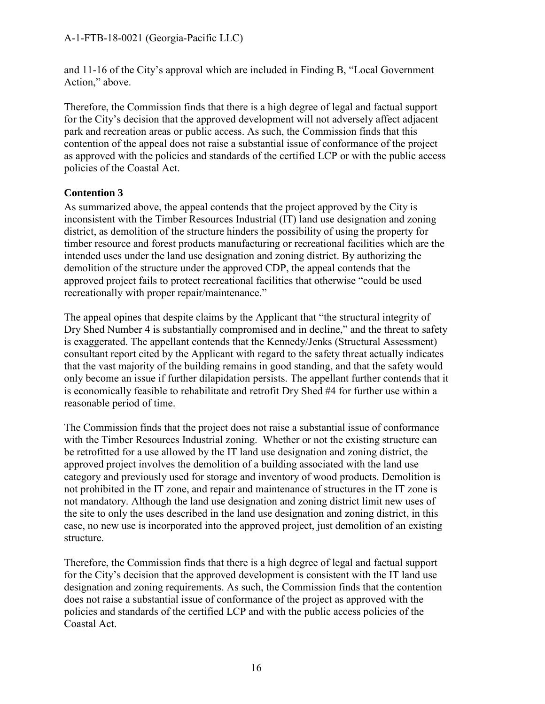#### A-1-FTB-18-0021 (Georgia-Pacific LLC)

and 11-16 of the City's approval which are included in Finding B, "Local Government Action," above.

Therefore, the Commission finds that there is a high degree of legal and factual support for the City's decision that the approved development will not adversely affect adjacent park and recreation areas or public access. As such, the Commission finds that this contention of the appeal does not raise a substantial issue of conformance of the project as approved with the policies and standards of the certified LCP or with the public access policies of the Coastal Act.

#### **Contention 3**

As summarized above, the appeal contends that the project approved by the City is inconsistent with the Timber Resources Industrial (IT) land use designation and zoning district, as demolition of the structure hinders the possibility of using the property for timber resource and forest products manufacturing or recreational facilities which are the intended uses under the land use designation and zoning district. By authorizing the demolition of the structure under the approved CDP, the appeal contends that the approved project fails to protect recreational facilities that otherwise "could be used recreationally with proper repair/maintenance."

The appeal opines that despite claims by the Applicant that "the structural integrity of Dry Shed Number 4 is substantially compromised and in decline," and the threat to safety is exaggerated. The appellant contends that the Kennedy/Jenks (Structural Assessment) consultant report cited by the Applicant with regard to the safety threat actually indicates that the vast majority of the building remains in good standing, and that the safety would only become an issue if further dilapidation persists. The appellant further contends that it is economically feasible to rehabilitate and retrofit Dry Shed #4 for further use within a reasonable period of time.

The Commission finds that the project does not raise a substantial issue of conformance with the Timber Resources Industrial zoning. Whether or not the existing structure can be retrofitted for a use allowed by the IT land use designation and zoning district, the approved project involves the demolition of a building associated with the land use category and previously used for storage and inventory of wood products. Demolition is not prohibited in the IT zone, and repair and maintenance of structures in the IT zone is not mandatory. Although the land use designation and zoning district limit new uses of the site to only the uses described in the land use designation and zoning district, in this case, no new use is incorporated into the approved project, just demolition of an existing structure.

Therefore, the Commission finds that there is a high degree of legal and factual support for the City's decision that the approved development is consistent with the IT land use designation and zoning requirements. As such, the Commission finds that the contention does not raise a substantial issue of conformance of the project as approved with the policies and standards of the certified LCP and with the public access policies of the Coastal Act.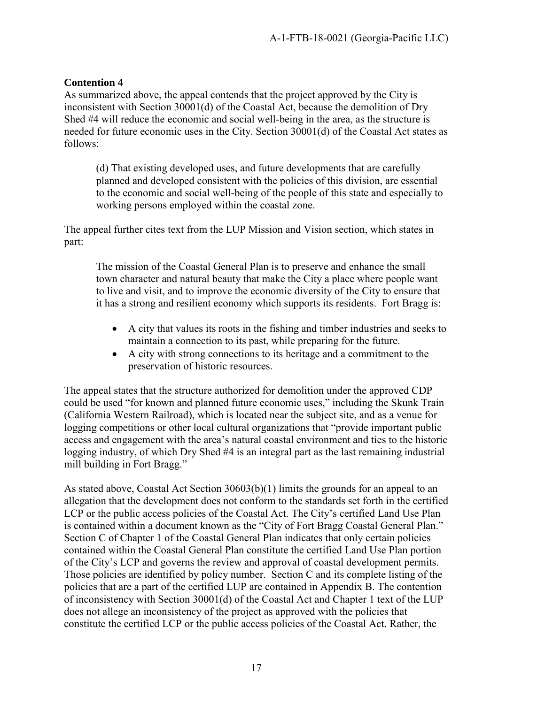#### **Contention 4**

As summarized above, the appeal contends that the project approved by the City is inconsistent with Section 30001(d) of the Coastal Act, because the demolition of Dry Shed #4 will reduce the economic and social well-being in the area, as the structure is needed for future economic uses in the City. Section 30001(d) of the Coastal Act states as follows:

(d) That existing developed uses, and future developments that are carefully planned and developed consistent with the policies of this division, are essential to the economic and social well-being of the people of this state and especially to working persons employed within the coastal zone.

The appeal further cites text from the LUP Mission and Vision section, which states in part:

The mission of the Coastal General Plan is to preserve and enhance the small town character and natural beauty that make the City a place where people want to live and visit, and to improve the economic diversity of the City to ensure that it has a strong and resilient economy which supports its residents. Fort Bragg is:

- A city that values its roots in the fishing and timber industries and seeks to maintain a connection to its past, while preparing for the future.
- A city with strong connections to its heritage and a commitment to the preservation of historic resources.

The appeal states that the structure authorized for demolition under the approved CDP could be used "for known and planned future economic uses," including the Skunk Train (California Western Railroad), which is located near the subject site, and as a venue for logging competitions or other local cultural organizations that "provide important public access and engagement with the area's natural coastal environment and ties to the historic logging industry, of which Dry Shed #4 is an integral part as the last remaining industrial mill building in Fort Bragg."

As stated above, Coastal Act Section 30603(b)(1) limits the grounds for an appeal to an allegation that the development does not conform to the standards set forth in the certified LCP or the public access policies of the Coastal Act. The City's certified Land Use Plan is contained within a document known as the "City of Fort Bragg Coastal General Plan." Section C of Chapter 1 of the Coastal General Plan indicates that only certain policies contained within the Coastal General Plan constitute the certified Land Use Plan portion of the City's LCP and governs the review and approval of coastal development permits. Those policies are identified by policy number. Section C and its complete listing of the policies that are a part of the certified LUP are contained in Appendix B. The contention of inconsistency with Section 30001(d) of the Coastal Act and Chapter 1 text of the LUP does not allege an inconsistency of the project as approved with the policies that constitute the certified LCP or the public access policies of the Coastal Act. Rather, the